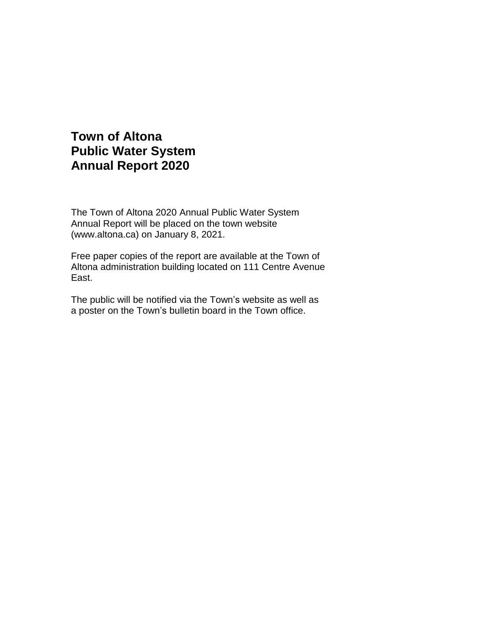# **Town of Altona Public Water System Annual Report 2020**

The Town of Altona 2020 Annual Public Water System Annual Report will be placed on the town website (www.altona.ca) on January 8, 2021.

Free paper copies of the report are available at the Town of Altona administration building located on 111 Centre Avenue East.

The public will be notified via the Town's website as well as a poster on the Town's bulletin board in the Town office.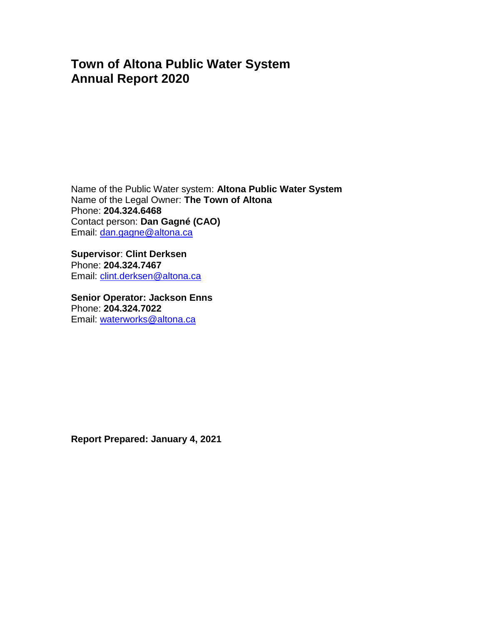# **Town of Altona Public Water System Annual Report 2020**

Name of the Public Water system: **Altona Public Water System** Name of the Legal Owner: **The Town of Altona** Phone: **204.324.6468** Contact person: **Dan Gagné (CAO)** Email: [da](mailto:dale.lyle@altona.ca)n.gagne@altona.ca

**Supervisor**: **Clint Derksen** Phone: **204.324.7467** Email: [clint.derksen@altona.ca](mailto:clint.derksen@altona.ca)

**Senior Operator: Jackson Enns** Phone: **204.324.7022** Email: [waterworks@altona.ca](mailto:waterworks@altona.ca)

**Report Prepared: January 4, 2021**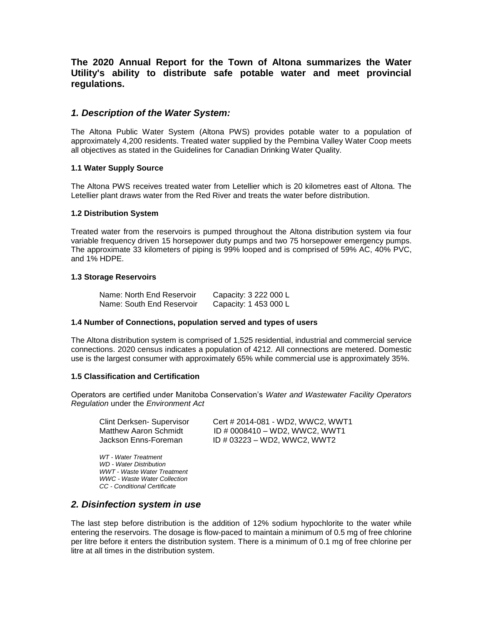### **The 2020 Annual Report for the Town of Altona summarizes the Water Utility's ability to distribute safe potable water and meet provincial regulations.**

#### *1. Description of the Water System:*

The Altona Public Water System (Altona PWS) provides potable water to a population of approximately 4,200 residents. Treated water supplied by the Pembina Valley Water Coop meets all objectives as stated in the Guidelines for Canadian Drinking Water Quality.

#### **1.1 Water Supply Source**

The Altona PWS receives treated water from Letellier which is 20 kilometres east of Altona. The Letellier plant draws water from the Red River and treats the water before distribution.

#### **1.2 Distribution System**

Treated water from the reservoirs is pumped throughout the Altona distribution system via four variable frequency driven 15 horsepower duty pumps and two 75 horsepower emergency pumps. The approximate 33 kilometers of piping is 99% looped and is comprised of 59% AC, 40% PVC, and 1% HDPE.

#### **1.3 Storage Reservoirs**

| Name: North End Reservoir | Capacity: 3 222 000 L |
|---------------------------|-----------------------|
| Name: South End Reservoir | Capacity: 1 453 000 L |

#### **1.4 Number of Connections, population served and types of users**

The Altona distribution system is comprised of 1,525 residential, industrial and commercial service connections. 2020 census indicates a population of 4212. All connections are metered. Domestic use is the largest consumer with approximately 65% while commercial use is approximately 35%.

#### **1.5 Classification and Certification**

Operators are certified under Manitoba Conservation's *Water and Wastewater Facility Operators Regulation* under the *Environment Act*

| Clint Derksen- Supervisor | Cert # 2014-081 - WD2, WWC2, WWT1 |
|---------------------------|-----------------------------------|
| Matthew Aaron Schmidt     | ID # 0008410 - WD2, WWC2, WWT1    |
| Jackson Enns-Foreman      | ID # 03223 – WD2, WWC2, WWT2      |

*WT - Water Treatment WD - Water Distribution WWT - Waste Water Treatment WWC - Waste Water Collection CC - Conditional Certificate*

#### *2. Disinfection system in use*

The last step before distribution is the addition of 12% sodium hypochlorite to the water while entering the reservoirs. The dosage is flow-paced to maintain a minimum of 0.5 mg of free chlorine per litre before it enters the distribution system. There is a minimum of 0.1 mg of free chlorine per litre at all times in the distribution system.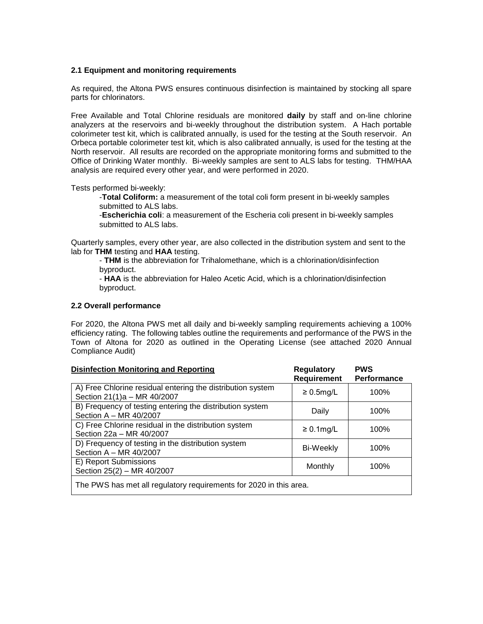#### **2.1 Equipment and monitoring requirements**

As required, the Altona PWS ensures continuous disinfection is maintained by stocking all spare parts for chlorinators.

Free Available and Total Chlorine residuals are monitored **daily** by staff and on-line chlorine analyzers at the reservoirs and bi-weekly throughout the distribution system. A Hach portable colorimeter test kit, which is calibrated annually, is used for the testing at the South reservoir. An Orbeca portable colorimeter test kit, which is also calibrated annually, is used for the testing at the North reservoir. All results are recorded on the appropriate monitoring forms and submitted to the Office of Drinking Water monthly. Bi-weekly samples are sent to ALS labs for testing. THM/HAA analysis are required every other year, and were performed in 2020.

Tests performed bi-weekly:

-**Total Coliform:** a measurement of the total coli form present in bi-weekly samples submitted to ALS labs.

-**Escherichia coli**: a measurement of the Escheria coli present in bi-weekly samples submitted to ALS labs.

Quarterly samples, every other year, are also collected in the distribution system and sent to the lab for **THM** testing and **HAA** testing.

- **THM** is the abbreviation for Trihalomethane, which is a chlorination/disinfection byproduct.

- **HAA** is the abbreviation for Haleo Acetic Acid, which is a chlorination/disinfection byproduct.

#### **2.2 Overall performance**

For 2020, the Altona PWS met all daily and bi-weekly sampling requirements achieving a 100% efficiency rating. The following tables outline the requirements and performance of the PWS in the Town of Altona for 2020 as outlined in the Operating License (see attached 2020 Annual Compliance Audit)

| <b>Disinfection Monitoring and Reporting</b>                                              | <b>Regulatory</b>  | <b>PWS</b>  |
|-------------------------------------------------------------------------------------------|--------------------|-------------|
|                                                                                           | <b>Requirement</b> | Performance |
| A) Free Chlorine residual entering the distribution system<br>Section 21(1)a - MR 40/2007 | $\geq 0.5$ mg/L    | 100%        |
| B) Frequency of testing entering the distribution system<br>Section A - MR 40/2007        | Daily              | 100%        |
| C) Free Chlorine residual in the distribution system<br>Section 22a - MR 40/2007          | $\geq 0.1$ mg/L    | 100%        |
| D) Frequency of testing in the distribution system<br>Section A - MR 40/2007              | Bi-Weekly          | 100%        |
| E) Report Submissions<br>Section 25(2) - MR 40/2007                                       | Monthly            | 100%        |
| The PWS has met all regulatory requirements for 2020 in this area.                        |                    |             |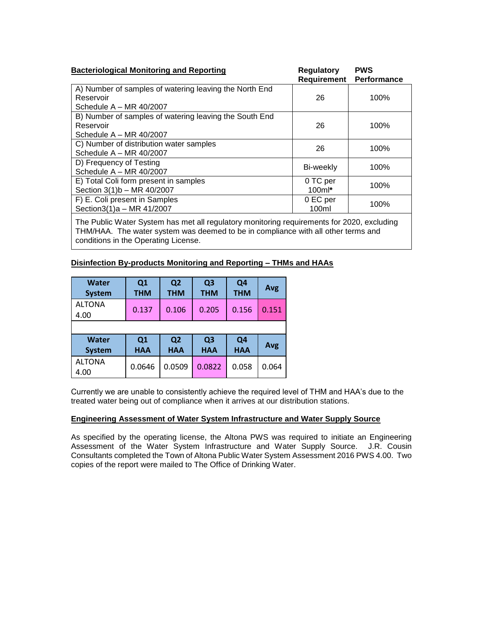| <b>Bacteriological Monitoring and Reporting</b>                                                  | <b>Regulatory</b><br>Requirement | <b>PWS</b><br>Performance |
|--------------------------------------------------------------------------------------------------|----------------------------------|---------------------------|
| A) Number of samples of watering leaving the North End<br>Reservoir<br>Schedule $A - MR 40/2007$ | 26                               | 100%                      |
| B) Number of samples of watering leaving the South End<br>Reservoir<br>Schedule $A - MR 40/2007$ | 26                               | 100%                      |
| C) Number of distribution water samples<br>Schedule $A - MR 40/2007$                             | 26                               | 100%                      |
| D) Frequency of Testing<br>Schedule $A - MR$ 40/2007                                             | Bi-weekly                        | 100%                      |
| E) Total Coli form present in samples<br>Section 3(1)b - MR 40/2007                              | 0 TC per<br>$100ml*$             | 100%                      |
| F) E. Coli present in Samples<br>Section3(1)a - MR 41/2007                                       | 0 EC per<br>100ml                | 100%                      |

The Public Water System has met all regulatory monitoring requirements for 2020, excluding THM/HAA. The water system was deemed to be in compliance with all other terms and conditions in the Operating License.

#### **Disinfection By-products Monitoring and Reporting – THMs and HAAs**

| Water<br><b>System</b> | Q <sub>1</sub><br><b>THM</b> | Q <sub>2</sub><br><b>THM</b> | Q <sub>3</sub><br><b>THM</b> | Q4<br><b>THM</b>             | Avg   |
|------------------------|------------------------------|------------------------------|------------------------------|------------------------------|-------|
| <b>ALTONA</b><br>4.00  | 0.137                        | 0.106                        | 0.205                        | 0.156                        | 0.151 |
|                        |                              |                              |                              |                              |       |
| Water<br><b>System</b> | Q1<br><b>HAA</b>             | Q <sub>2</sub><br><b>HAA</b> | Q <sub>3</sub><br><b>HAA</b> | Q <sub>4</sub><br><b>HAA</b> | Avg   |
| <b>ALTONA</b><br>4.00  | 0.0646                       | 0.0509                       | 0.0822                       | 0.058                        | 0.064 |

Currently we are unable to consistently achieve the required level of THM and HAA's due to the treated water being out of compliance when it arrives at our distribution stations.

#### **Engineering Assessment of Water System Infrastructure and Water Supply Source**

As specified by the operating license, the Altona PWS was required to initiate an Engineering Assessment of the Water System Infrastructure and Water Supply Source. J.R. Cousin Consultants completed the Town of Altona Public Water System Assessment 2016 PWS 4.00. Two copies of the report were mailed to The Office of Drinking Water.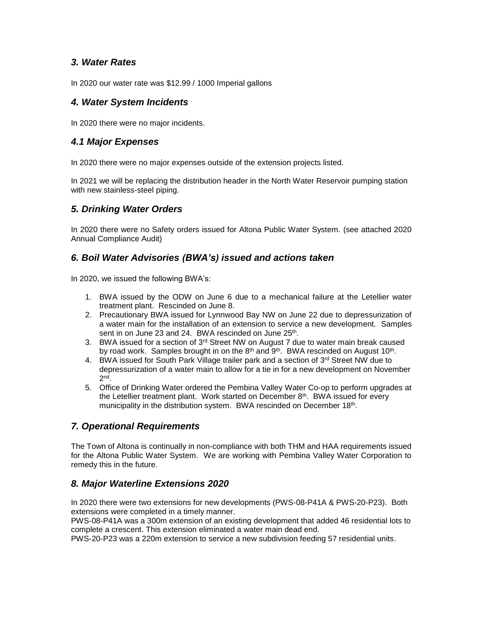## *3. Water Rates*

In 2020 our water rate was \$12.99 / 1000 Imperial gallons

## *4. Water System Incidents*

In 2020 there were no major incidents.

## *4.1 Major Expenses*

In 2020 there were no major expenses outside of the extension projects listed.

In 2021 we will be replacing the distribution header in the North Water Reservoir pumping station with new stainless-steel piping.

## *5. Drinking Water Orders*

In 2020 there were no Safety orders issued for Altona Public Water System. (see attached 2020 Annual Compliance Audit)

## *6. Boil Water Advisories (BWA's) issued and actions taken*

In 2020, we issued the following BWA's:

- 1. BWA issued by the ODW on June 6 due to a mechanical failure at the Letellier water treatment plant. Rescinded on June 8.
- 2. Precautionary BWA issued for Lynnwood Bay NW on June 22 due to depressurization of a water main for the installation of an extension to service a new development. Samples sent in on June 23 and 24. BWA rescinded on June 25<sup>th</sup>.
- 3. BWA issued for a section of  $3<sup>rd</sup>$  Street NW on August 7 due to water main break caused by road work. Samples brought in on the  $8<sup>th</sup>$  and  $9<sup>th</sup>$ . BWA rescinded on August 10<sup>th</sup>.
- 4. BWA issued for South Park Village trailer park and a section of  $3^{rd}$  Street NW due to depressurization of a water main to allow for a tie in for a new development on November 2 nd .
- 5. Office of Drinking Water ordered the Pembina Valley Water Co-op to perform upgrades at the Letellier treatment plant. Work started on December 8<sup>th</sup>. BWA issued for every municipality in the distribution system. BWA rescinded on December 18<sup>th</sup>.

## *7. Operational Requirements*

The Town of Altona is continually in non-compliance with both THM and HAA requirements issued for the Altona Public Water System. We are working with Pembina Valley Water Corporation to remedy this in the future.

## *8. Major Waterline Extensions 2020*

In 2020 there were two extensions for new developments (PWS-08-P41A & PWS-20-P23). Both extensions were completed in a timely manner.

PWS-08-P41A was a 300m extension of an existing development that added 46 residential lots to complete a crescent. This extension eliminated a water main dead end.

PWS-20-P23 was a 220m extension to service a new subdivision feeding 57 residential units.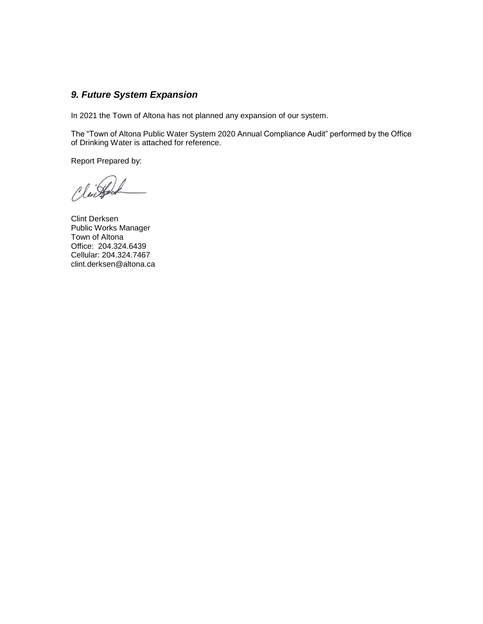## *9. Future System Expansion*

In 2021 the Town of Altona has not planned any expansion of our system.

The "Town of Altona Public Water System 2020 Annual Compliance Audit" performed by the Office of Drinking Water is attached for reference.

Report Prepared by:

Cleinford

Clint Derksen Public Works Manager Town of Altona Office: 204.324.6439 Cellular: 204.324.7467 clint.derksen@altona.ca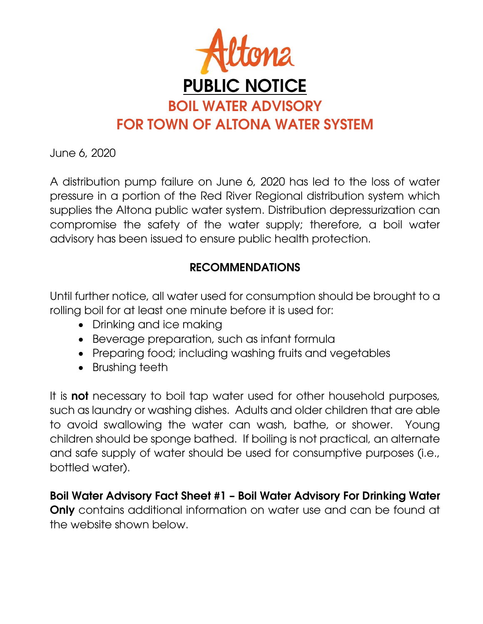

June 6, 2020

A distribution pump failure on June 6, 2020 has led to the loss of water pressure in a portion of the Red River Regional distribution system which supplies the Altona public water system. Distribution depressurization can compromise the safety of the water supply; therefore, a boil water advisory has been issued to ensure public health protection.

# **RECOMMENDATIONS**

Until further notice, all water used for consumption should be brought to a rolling boil for at least one minute before it is used for:

- Drinking and ice making
- Beverage preparation, such as infant formula
- Preparing food; including washing fruits and vegetables
- Brushing teeth

It is **not** necessary to boil tap water used for other household purposes, such as laundry or washing dishes. Adults and older children that are able to avoid swallowing the water can wash, bathe, or shower. Young children should be sponge bathed. If boiling is not practical, an alternate and safe supply of water should be used for consumptive purposes (i.e., bottled water).

**Boil Water Advisory Fact Sheet #1 – Boil Water Advisory For Drinking Water** 

**Only** contains additional information on water use and can be found at the website shown below.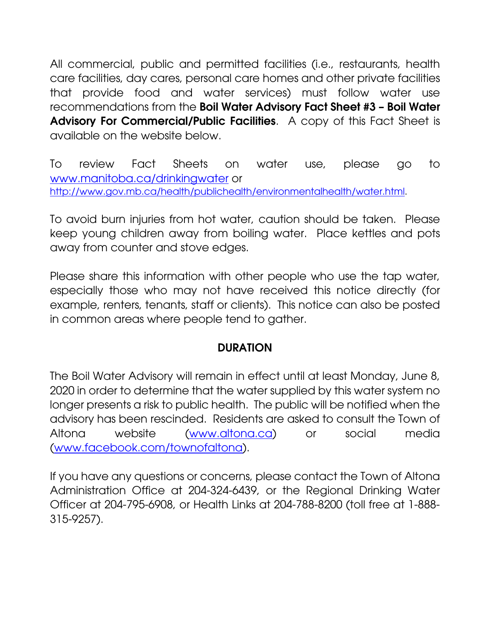All commercial, public and permitted facilities (i.e., restaurants, health care facilities, day cares, personal care homes and other private facilities that provide food and water services) must follow water use recommendations from the **Boil Water Advisory Fact Sheet #3 – Boil Water Advisory For Commercial/Public Facilities**. A copy of this Fact Sheet is available on the website below.

To review Fact Sheets on water use, please go to www.manitoba.ca/drinkingwater or http://www.gov.mb.ca/health/publichealth/environmentalhealth/water.html.

To avoid burn injuries from hot water, caution should be taken. Please keep young children away from boiling water. Place kettles and pots away from counter and stove edges.

Please share this information with other people who use the tap water, especially those who may not have received this notice directly (for example, renters, tenants, staff or clients). This notice can also be posted in common areas where people tend to gather.

## **DURATION**

The Boil Water Advisory will remain in effect until at least Monday, June 8, 2020 in order to determine that the water supplied by this water system no longer presents a risk to public health. The public will be notified when the advisory has been rescinded. Residents are asked to consult the Town of Altona website (www.altona.ca) or social media (www.facebook.com/townofaltona).

If you have any questions or concerns, please contact the Town of Altona Administration Office at 204-324-6439, or the Regional Drinking Water Officer at 204-795-6908, or Health Links at 204-788-8200 (toll free at 1-888- 315-9257).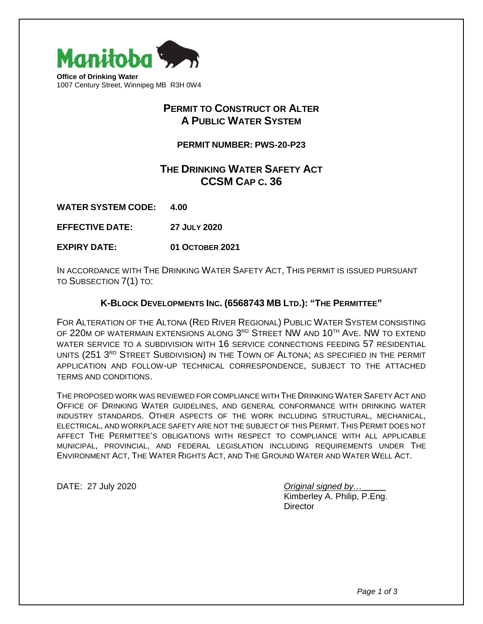

## **PERMIT TO CONSTRUCT OR ALTER A PUBLIC WATER SYSTEM**

**PERMIT NUMBER: PWS-20-P23**

## **THE DRINKING WATER SAFETY ACT CCSM CAP C. 36**

**WATER SYSTEM CODE: 4.00**

**EFFECTIVE DATE: 27 JULY 2020**

**EXPIRY DATE: 01 OCTOBER 2021**

IN ACCORDANCE WITH THE DRINKING WATER SAFETY ACT, THIS PERMIT IS ISSUED PURSUANT TO SUBSECTION 7(1) TO:

### **K-BLOCK DEVELOPMENTS INC. (6568743 MB LTD.): "THE PERMITTEE"**

FOR ALTERATION OF THE ALTONA (RED RIVER REGIONAL) PUBLIC WATER SYSTEM CONSISTING OF 220M OF WATERMAIN EXTENSIONS ALONG 3RD STREET NW AND 10<sup>TH</sup> AVE. NW TO EXTEND WATER SERVICE TO A SUBDIVISION WITH 16 SERVICE CONNECTIONS FEEDING 57 RESIDENTIAL UNITS (251 3RD STREET SUBDIVISION) IN THE TOWN OF ALTONA; AS SPECIFIED IN THE PERMIT APPLICATION AND FOLLOW-UP TECHNICAL CORRESPONDENCE, SUBJECT TO THE ATTACHED TERMS AND CONDITIONS.

THE PROPOSED WORK WAS REVIEWED FOR COMPLIANCE WITH THE DRINKING WATER SAFETY ACT AND OFFICE OF DRINKING WATER GUIDELINES, AND GENERAL CONFORMANCE WITH DRINKING WATER INDUSTRY STANDARDS. OTHER ASPECTS OF THE WORK INCLUDING STRUCTURAL, MECHANICAL, ELECTRICAL, AND WORKPLACE SAFETY ARE NOT THE SUBJECT OF THIS PERMIT. THIS PERMIT DOES NOT AFFECT THE PERMITTEE'S OBLIGATIONS WITH RESPECT TO COMPLIANCE WITH ALL APPLICABLE MUNICIPAL, PROVINCIAL, AND FEDERAL LEGISLATION INCLUDING REQUIREMENTS UNDER THE ENVIRONMENT ACT, THE WATER RIGHTS ACT, AND THE GROUND WATER AND WATER WELL ACT.

DATE: 27 July 2020 *Original signed by…\_\_\_\_\_*

Kimberley A. Philip, P.Eng. **Director**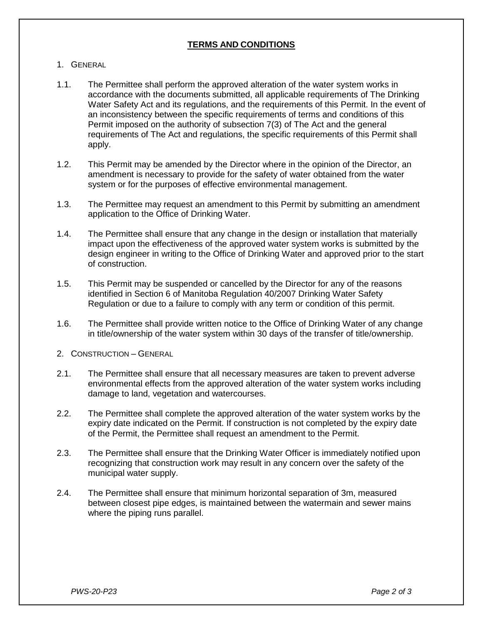## **TERMS AND CONDITIONS**

- 1. GENERAL
- 1.1. The Permittee shall perform the approved alteration of the water system works in accordance with the documents submitted, all applicable requirements of The Drinking Water Safety Act and its regulations, and the requirements of this Permit. In the event of an inconsistency between the specific requirements of terms and conditions of this Permit imposed on the authority of subsection 7(3) of The Act and the general requirements of The Act and regulations, the specific requirements of this Permit shall apply.
- 1.2. This Permit may be amended by the Director where in the opinion of the Director, an amendment is necessary to provide for the safety of water obtained from the water system or for the purposes of effective environmental management.
- 1.3. The Permittee may request an amendment to this Permit by submitting an amendment application to the Office of Drinking Water.
- 1.4. The Permittee shall ensure that any change in the design or installation that materially impact upon the effectiveness of the approved water system works is submitted by the design engineer in writing to the Office of Drinking Water and approved prior to the start of construction.
- 1.5. This Permit may be suspended or cancelled by the Director for any of the reasons identified in Section 6 of Manitoba Regulation 40/2007 Drinking Water Safety Regulation or due to a failure to comply with any term or condition of this permit.
- 1.6. The Permittee shall provide written notice to the Office of Drinking Water of any change in title/ownership of the water system within 30 days of the transfer of title/ownership.
- 2. CONSTRUCTION GENERAL
- 2.1. The Permittee shall ensure that all necessary measures are taken to prevent adverse environmental effects from the approved alteration of the water system works including damage to land, vegetation and watercourses.
- 2.2. The Permittee shall complete the approved alteration of the water system works by the expiry date indicated on the Permit. If construction is not completed by the expiry date of the Permit, the Permittee shall request an amendment to the Permit.
- 2.3. The Permittee shall ensure that the Drinking Water Officer is immediately notified upon recognizing that construction work may result in any concern over the safety of the municipal water supply.
- 2.4. The Permittee shall ensure that minimum horizontal separation of 3m, measured between closest pipe edges, is maintained between the watermain and sewer mains where the piping runs parallel.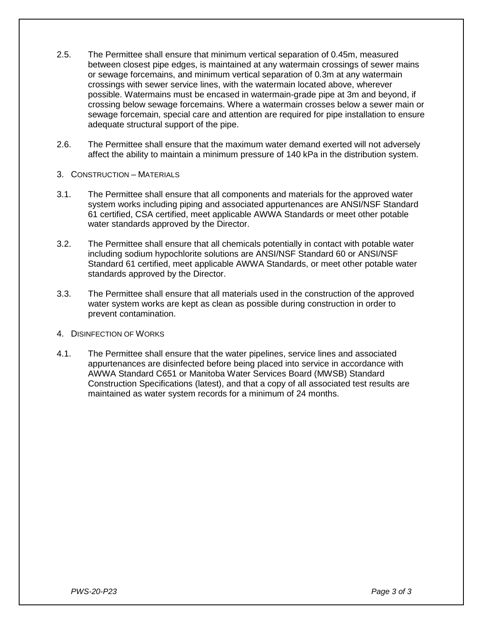- 2.5. The Permittee shall ensure that minimum vertical separation of 0.45m, measured between closest pipe edges, is maintained at any watermain crossings of sewer mains or sewage forcemains, and minimum vertical separation of 0.3m at any watermain crossings with sewer service lines, with the watermain located above, wherever possible. Watermains must be encased in watermain-grade pipe at 3m and beyond, if crossing below sewage forcemains. Where a watermain crosses below a sewer main or sewage forcemain, special care and attention are required for pipe installation to ensure adequate structural support of the pipe.
- 2.6. The Permittee shall ensure that the maximum water demand exerted will not adversely affect the ability to maintain a minimum pressure of 140 kPa in the distribution system.
- 3. CONSTRUCTION MATERIALS
- 3.1. The Permittee shall ensure that all components and materials for the approved water system works including piping and associated appurtenances are ANSI/NSF Standard 61 certified, CSA certified, meet applicable AWWA Standards or meet other potable water standards approved by the Director.
- 3.2. The Permittee shall ensure that all chemicals potentially in contact with potable water including sodium hypochlorite solutions are ANSI/NSF Standard 60 or ANSI/NSF Standard 61 certified, meet applicable AWWA Standards, or meet other potable water standards approved by the Director.
- 3.3. The Permittee shall ensure that all materials used in the construction of the approved water system works are kept as clean as possible during construction in order to prevent contamination.
- 4. DISINFECTION OF WORKS
- 4.1. The Permittee shall ensure that the water pipelines, service lines and associated appurtenances are disinfected before being placed into service in accordance with AWWA Standard C651 or Manitoba Water Services Board (MWSB) Standard Construction Specifications (latest), and that a copy of all associated test results are maintained as water system records for a minimum of 24 months.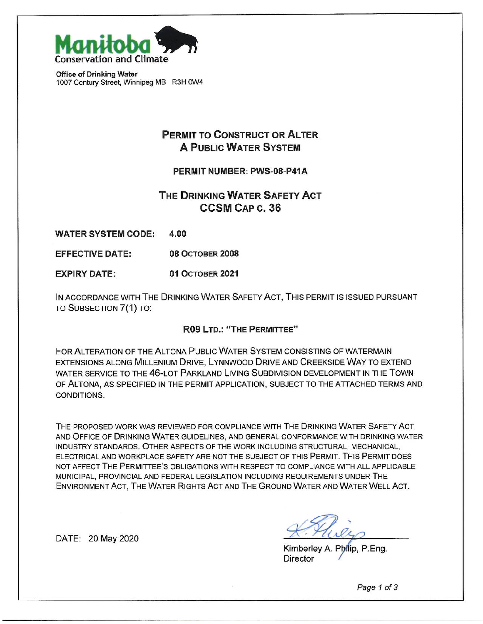

**Office of Drinking Water** 1007 Century Street, Winnipeg MB R3H 0W4

## **PERMIT TO CONSTRUCT OR ALTER A PUBLIC WATER SYSTEM**

#### PERMIT NUMBER: PWS-08-P41A

## THE DRINKING WATER SAFETY ACT **CCSM CAP c. 36**

**WATER SYSTEM CODE:** 4.00

**08 OCTOBER 2008 EFFECTIVE DATE:** 

**EXPIRY DATE: 01 OCTOBER 2021** 

IN ACCORDANCE WITH THE DRINKING WATER SAFETY ACT, THIS PERMIT IS ISSUED PURSUANT TO SUBSECTION 7(1) TO:

#### R09 LTD.: "THE PERMITTEE"

FOR ALTERATION OF THE ALTONA PUBLIC WATER SYSTEM CONSISTING OF WATERMAIN EXTENSIONS ALONG MILLENIUM DRIVE, LYNNWOOD DRIVE AND CREEKSIDE WAY TO EXTEND WATER SERVICE TO THE 46-LOT PARKLAND LIVING SUBDIVISION DEVELOPMENT IN THE TOWN OF ALTONA, AS SPECIFIED IN THE PERMIT APPLICATION, SUBJECT TO THE ATTACHED TERMS AND CONDITIONS.

THE PROPOSED WORK WAS REVIEWED FOR COMPLIANCE WITH THE DRINKING WATER SAFETY ACT AND OFFICE OF DRINKING WATER GUIDELINES, AND GENERAL CONFORMANCE WITH DRINKING WATER INDUSTRY STANDARDS. OTHER ASPECTS OF THE WORK INCLUDING STRUCTURAL, MECHANICAL, ELECTRICAL AND WORKPLACE SAFETY ARE NOT THE SUBJECT OF THIS PERMIT. THIS PERMIT DOES NOT AFFECT THE PERMITTEE'S OBLIGATIONS WITH RESPECT TO COMPLIANCE WITH ALL APPLICABLE MUNICIPAL, PROVINCIAL AND FEDERAL LEGISLATION INCLUDING REQUIREMENTS UNDER THE ENVIRONMENT ACT, THE WATER RIGHTS ACT AND THE GROUND WATER AND WATER WELL ACT.

Kimberley A. Philip, P.Eng. **Director** 

DATE: 20 May 2020

Page 1 of 3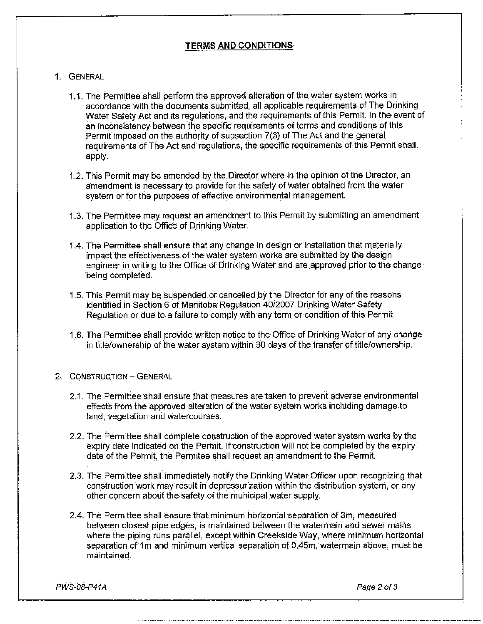## **TERMS AND CONDITIONS**

#### 1. GENERAL

- 1.1. The Permittee shall perform the approved alteration of the water system works in accordance with the documents submitted, all applicable requirements of The Drinking Water Safety Act and its regulations, and the reguirements of this Permit. In the event of an inconsistency between the specific requirements of terms and conditions of this Permit imposed on the authority of subsection 7(3) of The Act and the general requirements of The Act and regulations, the specific requirements of this Permit shall apply.
- 1.2. This Permit may be amended by the Director where in the opinion of the Director, an amendment is necessary to provide for the safety of water obtained from the water system or for the purposes of effective environmental management.
- 1.3. The Permittee may request an amendment to this Permit by submitting an amendment application to the Office of Drinking Water.
- 1.4. The Permittee shall ensure that any change in design or installation that materially impact the effectiveness of the water system works are submitted by the design engineer in writing to the Office of Drinking Water and are approved prior to the change being completed.
- 1.5. This Permit may be suspended or cancelled by the Director for any of the reasons identified in Section 6 of Manitoba Regulation 40/2007 Drinking Water Safety Regulation or due to a failure to comply with any term or condition of this Permit.
- 1.6. The Permittee shall provide written notice to the Office of Drinking Water of any change in title/ownership of the water system within 30 days of the transfer of title/ownership.

#### 2. CONSTRUCTION - GENERAL

- 2.1. The Permittee shall ensure that measures are taken to prevent adverse environmental effects from the approved alteration of the water system works including damage to land, vegetation and watercourses.
- 2.2. The Permittee shall complete construction of the approved water system works by the expiry date indicated on the Permit. If construction will not be completed by the expiry date of the Permit, the Permitee shall request an amendment to the Permit.
- 2.3. The Permittee shall immediately notify the Drinking Water Officer upon recognizing that construction work may result in depressurization within the distribution system, or any other concern about the safety of the municipal water supply.
- 2.4. The Permittee shall ensure that minimum horizontal separation of 3m, measured between closest pipe edges, is maintained between the watermain and sewer mains where the piping runs parallel, except within Creekside Way, where minimum horizontal separation of 1m and minimum vertical separation of 0.45m, watermain above, must be maintained.

PWS-08-P41A

Page 2 of 3